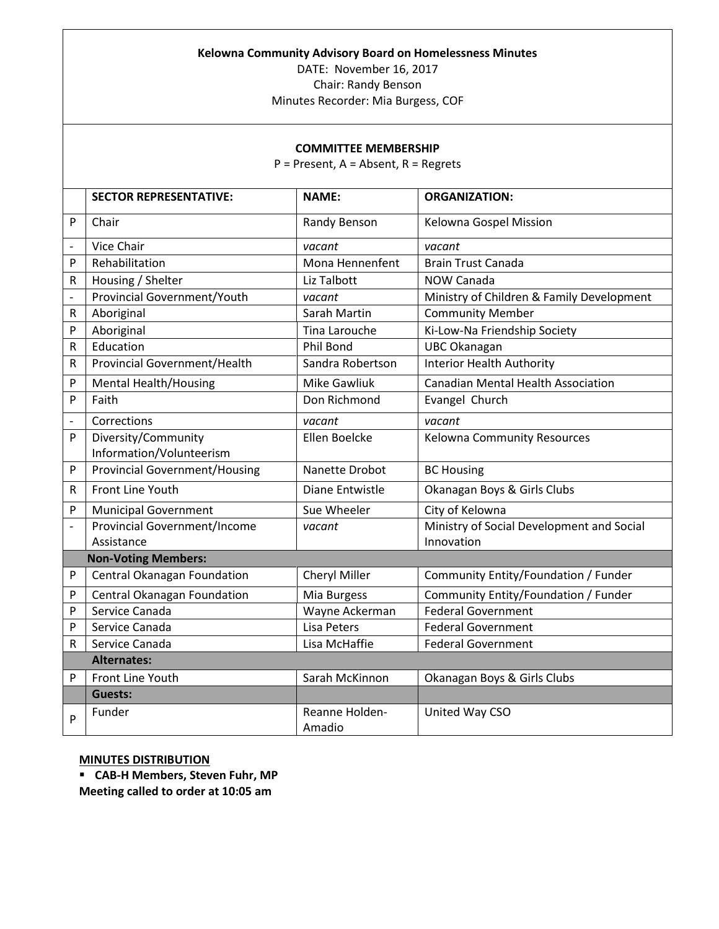## **Kelowna Community Advisory Board on Homelessness Minutes**

DATE: November 16, 2017 Chair: Randy Benson

Minutes Recorder: Mia Burgess, COF

## **COMMITTEE MEMBERSHIP**

P = Present, A = Absent, R = Regrets

|                          | <b>SECTOR REPRESENTATIVE:</b>        | <b>NAME:</b>        | <b>ORGANIZATION:</b>                      |
|--------------------------|--------------------------------------|---------------------|-------------------------------------------|
| P                        | Chair                                | Randy Benson        | Kelowna Gospel Mission                    |
| $\overline{\phantom{0}}$ | Vice Chair                           | vacant              | vacant                                    |
| P                        | Rehabilitation                       | Mona Hennenfent     | <b>Brain Trust Canada</b>                 |
| R                        | Housing / Shelter                    | Liz Talbott         | <b>NOW Canada</b>                         |
| $\blacksquare$           | Provincial Government/Youth          | vacant              | Ministry of Children & Family Development |
| $\mathsf R$              | Aboriginal                           | Sarah Martin        | <b>Community Member</b>                   |
| P                        | Aboriginal                           | Tina Larouche       | Ki-Low-Na Friendship Society              |
| $\mathsf R$              | Education                            | <b>Phil Bond</b>    | <b>UBC Okanagan</b>                       |
| R                        | <b>Provincial Government/Health</b>  | Sandra Robertson    | <b>Interior Health Authority</b>          |
| P                        | <b>Mental Health/Housing</b>         | <b>Mike Gawliuk</b> | <b>Canadian Mental Health Association</b> |
| P                        | Faith                                | Don Richmond        | Evangel Church                            |
| $\overline{\phantom{a}}$ | Corrections                          | vacant              | vacant                                    |
| P                        | Diversity/Community                  | Ellen Boelcke       | <b>Kelowna Community Resources</b>        |
|                          | Information/Volunteerism             |                     |                                           |
| P                        | <b>Provincial Government/Housing</b> | Nanette Drobot      | <b>BC Housing</b>                         |
| R                        | Front Line Youth                     | Diane Entwistle     | Okanagan Boys & Girls Clubs               |
| P                        | <b>Municipal Government</b>          | Sue Wheeler         | City of Kelowna                           |
| $\frac{1}{2}$            | <b>Provincial Government/Income</b>  | vacant              | Ministry of Social Development and Social |
|                          | Assistance                           |                     | Innovation                                |
|                          | <b>Non-Voting Members:</b>           |                     |                                           |
| P                        | Central Okanagan Foundation          | Cheryl Miller       | Community Entity/Foundation / Funder      |
| P                        | Central Okanagan Foundation          | Mia Burgess         | Community Entity/Foundation / Funder      |
| P                        | Service Canada                       | Wayne Ackerman      | <b>Federal Government</b>                 |
| P                        | Service Canada                       | Lisa Peters         | <b>Federal Government</b>                 |
| R                        | Service Canada                       | Lisa McHaffie       | <b>Federal Government</b>                 |
|                          | <b>Alternates:</b>                   |                     |                                           |
| P                        | Front Line Youth                     | Sarah McKinnon      | Okanagan Boys & Girls Clubs               |
|                          | <b>Guests:</b>                       |                     |                                           |
| P                        | Funder                               | Reanne Holden-      | United Way CSO                            |
|                          |                                      | Amadio              |                                           |

## **MINUTES DISTRIBUTION**

 **CAB-H Members, Steven Fuhr, MP Meeting called to order at 10:05 am**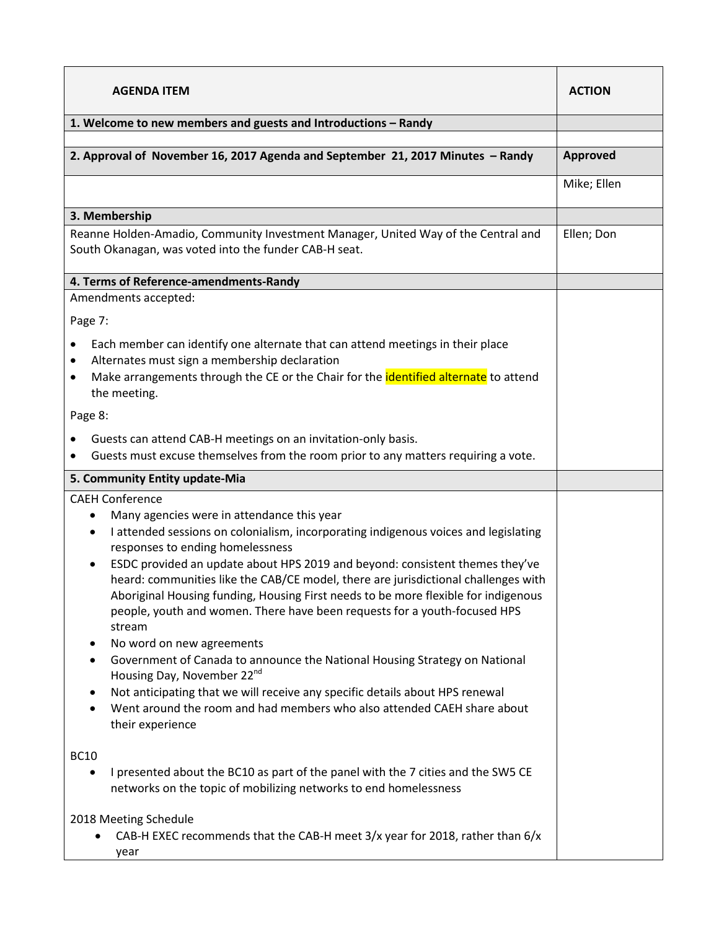| 1. Welcome to new members and guests and Introductions - Randy<br>2. Approval of November 16, 2017 Agenda and September 21, 2017 Minutes - Randy<br>Approved<br>Mike; Ellen<br>3. Membership<br>Reanne Holden-Amadio, Community Investment Manager, United Way of the Central and<br>Ellen; Don<br>South Okanagan, was voted into the funder CAB-H seat.<br>4. Terms of Reference-amendments-Randy<br>Amendments accepted:<br>Page 7:<br>Each member can identify one alternate that can attend meetings in their place<br>$\bullet$<br>Alternates must sign a membership declaration<br>$\bullet$<br>Make arrangements through the CE or the Chair for the identified alternate to attend<br>$\bullet$<br>the meeting.<br>Page 8:<br>Guests can attend CAB-H meetings on an invitation-only basis.<br>٠<br>Guests must excuse themselves from the room prior to any matters requiring a vote.<br>5. Community Entity update-Mia<br><b>CAEH Conference</b><br>Many agencies were in attendance this year<br>$\bullet$<br>I attended sessions on colonialism, incorporating indigenous voices and legislating<br>٠<br>responses to ending homelessness<br>ESDC provided an update about HPS 2019 and beyond: consistent themes they've<br>$\bullet$<br>heard: communities like the CAB/CE model, there are jurisdictional challenges with<br>Aboriginal Housing funding, Housing First needs to be more flexible for indigenous<br>people, youth and women. There have been requests for a youth-focused HPS<br>stream<br>No word on new agreements<br>٠<br>Government of Canada to announce the National Housing Strategy on National<br>$\bullet$<br>Housing Day, November 22 <sup>nd</sup><br>Not anticipating that we will receive any specific details about HPS renewal<br>٠<br>Went around the room and had members who also attended CAEH share about<br>$\bullet$<br>their experience<br><b>BC10</b><br>I presented about the BC10 as part of the panel with the 7 cities and the SW5 CE<br>٠<br>networks on the topic of mobilizing networks to end homelessness | <b>AGENDA ITEM</b> | <b>ACTION</b> |
|---------------------------------------------------------------------------------------------------------------------------------------------------------------------------------------------------------------------------------------------------------------------------------------------------------------------------------------------------------------------------------------------------------------------------------------------------------------------------------------------------------------------------------------------------------------------------------------------------------------------------------------------------------------------------------------------------------------------------------------------------------------------------------------------------------------------------------------------------------------------------------------------------------------------------------------------------------------------------------------------------------------------------------------------------------------------------------------------------------------------------------------------------------------------------------------------------------------------------------------------------------------------------------------------------------------------------------------------------------------------------------------------------------------------------------------------------------------------------------------------------------------------------------------------------------------------------------------------------------------------------------------------------------------------------------------------------------------------------------------------------------------------------------------------------------------------------------------------------------------------------------------------------------------------------------------------------------------------------------------------------------------------------------------------------------------------------|--------------------|---------------|
|                                                                                                                                                                                                                                                                                                                                                                                                                                                                                                                                                                                                                                                                                                                                                                                                                                                                                                                                                                                                                                                                                                                                                                                                                                                                                                                                                                                                                                                                                                                                                                                                                                                                                                                                                                                                                                                                                                                                                                                                                                                                           |                    |               |
|                                                                                                                                                                                                                                                                                                                                                                                                                                                                                                                                                                                                                                                                                                                                                                                                                                                                                                                                                                                                                                                                                                                                                                                                                                                                                                                                                                                                                                                                                                                                                                                                                                                                                                                                                                                                                                                                                                                                                                                                                                                                           |                    |               |
|                                                                                                                                                                                                                                                                                                                                                                                                                                                                                                                                                                                                                                                                                                                                                                                                                                                                                                                                                                                                                                                                                                                                                                                                                                                                                                                                                                                                                                                                                                                                                                                                                                                                                                                                                                                                                                                                                                                                                                                                                                                                           |                    |               |
|                                                                                                                                                                                                                                                                                                                                                                                                                                                                                                                                                                                                                                                                                                                                                                                                                                                                                                                                                                                                                                                                                                                                                                                                                                                                                                                                                                                                                                                                                                                                                                                                                                                                                                                                                                                                                                                                                                                                                                                                                                                                           |                    |               |
|                                                                                                                                                                                                                                                                                                                                                                                                                                                                                                                                                                                                                                                                                                                                                                                                                                                                                                                                                                                                                                                                                                                                                                                                                                                                                                                                                                                                                                                                                                                                                                                                                                                                                                                                                                                                                                                                                                                                                                                                                                                                           |                    |               |
|                                                                                                                                                                                                                                                                                                                                                                                                                                                                                                                                                                                                                                                                                                                                                                                                                                                                                                                                                                                                                                                                                                                                                                                                                                                                                                                                                                                                                                                                                                                                                                                                                                                                                                                                                                                                                                                                                                                                                                                                                                                                           |                    |               |
|                                                                                                                                                                                                                                                                                                                                                                                                                                                                                                                                                                                                                                                                                                                                                                                                                                                                                                                                                                                                                                                                                                                                                                                                                                                                                                                                                                                                                                                                                                                                                                                                                                                                                                                                                                                                                                                                                                                                                                                                                                                                           |                    |               |
|                                                                                                                                                                                                                                                                                                                                                                                                                                                                                                                                                                                                                                                                                                                                                                                                                                                                                                                                                                                                                                                                                                                                                                                                                                                                                                                                                                                                                                                                                                                                                                                                                                                                                                                                                                                                                                                                                                                                                                                                                                                                           |                    |               |
|                                                                                                                                                                                                                                                                                                                                                                                                                                                                                                                                                                                                                                                                                                                                                                                                                                                                                                                                                                                                                                                                                                                                                                                                                                                                                                                                                                                                                                                                                                                                                                                                                                                                                                                                                                                                                                                                                                                                                                                                                                                                           |                    |               |
|                                                                                                                                                                                                                                                                                                                                                                                                                                                                                                                                                                                                                                                                                                                                                                                                                                                                                                                                                                                                                                                                                                                                                                                                                                                                                                                                                                                                                                                                                                                                                                                                                                                                                                                                                                                                                                                                                                                                                                                                                                                                           |                    |               |
|                                                                                                                                                                                                                                                                                                                                                                                                                                                                                                                                                                                                                                                                                                                                                                                                                                                                                                                                                                                                                                                                                                                                                                                                                                                                                                                                                                                                                                                                                                                                                                                                                                                                                                                                                                                                                                                                                                                                                                                                                                                                           |                    |               |
|                                                                                                                                                                                                                                                                                                                                                                                                                                                                                                                                                                                                                                                                                                                                                                                                                                                                                                                                                                                                                                                                                                                                                                                                                                                                                                                                                                                                                                                                                                                                                                                                                                                                                                                                                                                                                                                                                                                                                                                                                                                                           |                    |               |
|                                                                                                                                                                                                                                                                                                                                                                                                                                                                                                                                                                                                                                                                                                                                                                                                                                                                                                                                                                                                                                                                                                                                                                                                                                                                                                                                                                                                                                                                                                                                                                                                                                                                                                                                                                                                                                                                                                                                                                                                                                                                           |                    |               |
| 2018 Meeting Schedule<br>CAB-H EXEC recommends that the CAB-H meet 3/x year for 2018, rather than 6/x                                                                                                                                                                                                                                                                                                                                                                                                                                                                                                                                                                                                                                                                                                                                                                                                                                                                                                                                                                                                                                                                                                                                                                                                                                                                                                                                                                                                                                                                                                                                                                                                                                                                                                                                                                                                                                                                                                                                                                     |                    |               |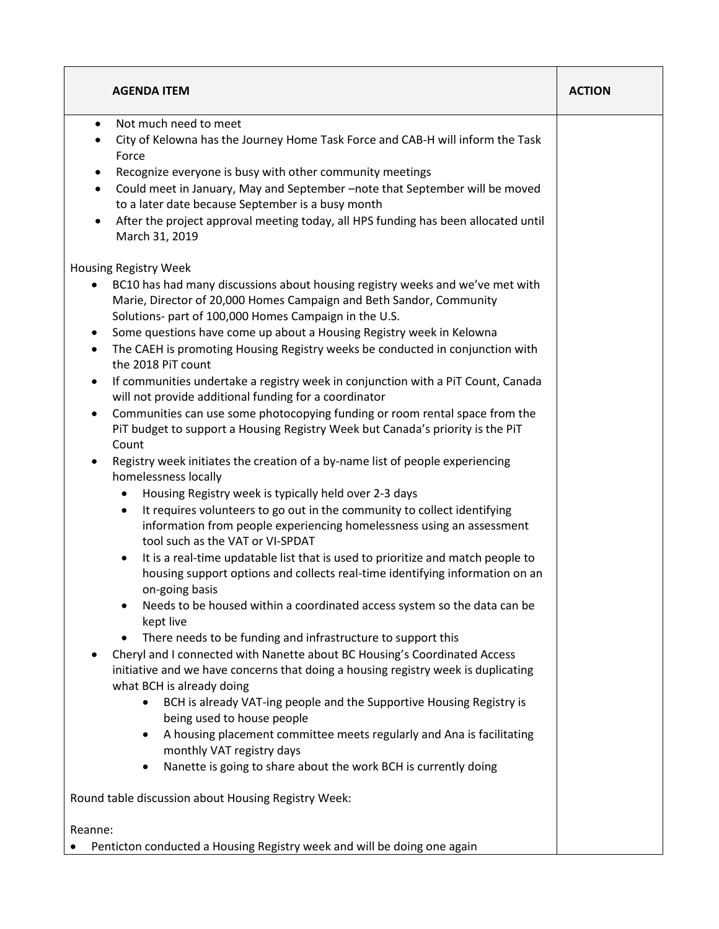| <b>AGENDA ITEM</b>                                                                                                                                                                                                                                                                                                                                                                                                                                                                                                                                                                                                                                                                                                                                                                                                                                                                                                                                                                                                                                                                                                                                         | <b>ACTION</b> |  |  |
|------------------------------------------------------------------------------------------------------------------------------------------------------------------------------------------------------------------------------------------------------------------------------------------------------------------------------------------------------------------------------------------------------------------------------------------------------------------------------------------------------------------------------------------------------------------------------------------------------------------------------------------------------------------------------------------------------------------------------------------------------------------------------------------------------------------------------------------------------------------------------------------------------------------------------------------------------------------------------------------------------------------------------------------------------------------------------------------------------------------------------------------------------------|---------------|--|--|
| Not much need to meet<br>$\bullet$<br>City of Kelowna has the Journey Home Task Force and CAB-H will inform the Task<br>Force<br>Recognize everyone is busy with other community meetings<br>٠<br>Could meet in January, May and September -note that September will be moved<br>$\bullet$<br>to a later date because September is a busy month<br>After the project approval meeting today, all HPS funding has been allocated until                                                                                                                                                                                                                                                                                                                                                                                                                                                                                                                                                                                                                                                                                                                      |               |  |  |
| March 31, 2019<br>Housing Registry Week<br>BC10 has had many discussions about housing registry weeks and we've met with<br>Marie, Director of 20,000 Homes Campaign and Beth Sandor, Community<br>Solutions- part of 100,000 Homes Campaign in the U.S.<br>Some questions have come up about a Housing Registry week in Kelowna<br>$\bullet$<br>The CAEH is promoting Housing Registry weeks be conducted in conjunction with<br>$\bullet$<br>the 2018 PiT count<br>If communities undertake a registry week in conjunction with a PiT Count, Canada<br>$\bullet$<br>will not provide additional funding for a coordinator<br>Communities can use some photocopying funding or room rental space from the<br>$\bullet$<br>PiT budget to support a Housing Registry Week but Canada's priority is the PiT<br>Count<br>Registry week initiates the creation of a by-name list of people experiencing<br>homelessness locally                                                                                                                                                                                                                                |               |  |  |
| Housing Registry week is typically held over 2-3 days<br>$\bullet$<br>It requires volunteers to go out in the community to collect identifying<br>$\bullet$<br>information from people experiencing homelessness using an assessment<br>tool such as the VAT or VI-SPDAT<br>It is a real-time updatable list that is used to prioritize and match people to<br>$\bullet$<br>housing support options and collects real-time identifying information on an<br>on-going basis<br>Needs to be housed within a coordinated access system so the data can be<br>٠<br>kept live<br>There needs to be funding and infrastructure to support this<br>$\bullet$<br>Cheryl and I connected with Nanette about BC Housing's Coordinated Access<br>initiative and we have concerns that doing a housing registry week is duplicating<br>what BCH is already doing<br>BCH is already VAT-ing people and the Supportive Housing Registry is<br>$\bullet$<br>being used to house people<br>A housing placement committee meets regularly and Ana is facilitating<br>٠<br>monthly VAT registry days<br>Nanette is going to share about the work BCH is currently doing<br>٠ |               |  |  |
| Round table discussion about Housing Registry Week:                                                                                                                                                                                                                                                                                                                                                                                                                                                                                                                                                                                                                                                                                                                                                                                                                                                                                                                                                                                                                                                                                                        |               |  |  |
| Reanne:                                                                                                                                                                                                                                                                                                                                                                                                                                                                                                                                                                                                                                                                                                                                                                                                                                                                                                                                                                                                                                                                                                                                                    |               |  |  |
| Penticton conducted a Housing Registry week and will be doing one again                                                                                                                                                                                                                                                                                                                                                                                                                                                                                                                                                                                                                                                                                                                                                                                                                                                                                                                                                                                                                                                                                    |               |  |  |

 $\mathsf{r}$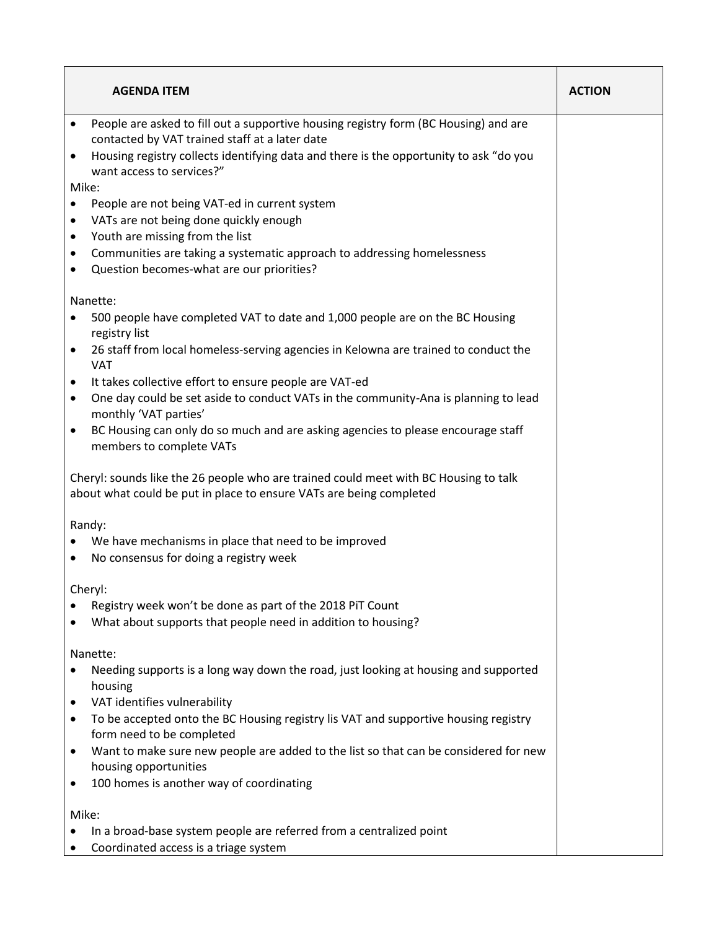| <b>AGENDA ITEM</b>                                                                                                                                                                                                                                                                                                                                                                                                              | <b>ACTION</b> |
|---------------------------------------------------------------------------------------------------------------------------------------------------------------------------------------------------------------------------------------------------------------------------------------------------------------------------------------------------------------------------------------------------------------------------------|---------------|
| People are asked to fill out a supportive housing registry form (BC Housing) and are<br>$\bullet$<br>contacted by VAT trained staff at a later date<br>Housing registry collects identifying data and there is the opportunity to ask "do you<br>$\bullet$                                                                                                                                                                      |               |
| want access to services?"<br>Mike:                                                                                                                                                                                                                                                                                                                                                                                              |               |
| People are not being VAT-ed in current system<br>VATs are not being done quickly enough<br>٠<br>Youth are missing from the list<br>$\bullet$<br>Communities are taking a systematic approach to addressing homelessness<br>٠<br>Question becomes-what are our priorities?<br>٠                                                                                                                                                  |               |
| Nanette:<br>500 people have completed VAT to date and 1,000 people are on the BC Housing<br>registry list<br>26 staff from local homeless-serving agencies in Kelowna are trained to conduct the<br>$\bullet$<br><b>VAT</b><br>It takes collective effort to ensure people are VAT-ed<br>$\bullet$<br>One day could be set aside to conduct VATs in the community-Ana is planning to lead<br>$\bullet$<br>monthly 'VAT parties' |               |
| BC Housing can only do so much and are asking agencies to please encourage staff<br>$\bullet$<br>members to complete VATs                                                                                                                                                                                                                                                                                                       |               |
| Cheryl: sounds like the 26 people who are trained could meet with BC Housing to talk<br>about what could be put in place to ensure VATs are being completed                                                                                                                                                                                                                                                                     |               |
| Randy:<br>We have mechanisms in place that need to be improved<br>No consensus for doing a registry week<br>٠                                                                                                                                                                                                                                                                                                                   |               |
| Cheryl:<br>Registry week won't be done as part of the 2018 PiT Count<br>What about supports that people need in addition to housing?                                                                                                                                                                                                                                                                                            |               |
| Nanette:<br>Needing supports is a long way down the road, just looking at housing and supported<br>housing<br>VAT identifies vulnerability<br>To be accepted onto the BC Housing registry lis VAT and supportive housing registry<br>form need to be completed<br>Want to make sure new people are added to the list so that can be considered for new<br>housing opportunities<br>100 homes is another way of coordinating     |               |
| Mike:<br>In a broad-base system people are referred from a centralized point<br>Coordinated access is a triage system                                                                                                                                                                                                                                                                                                           |               |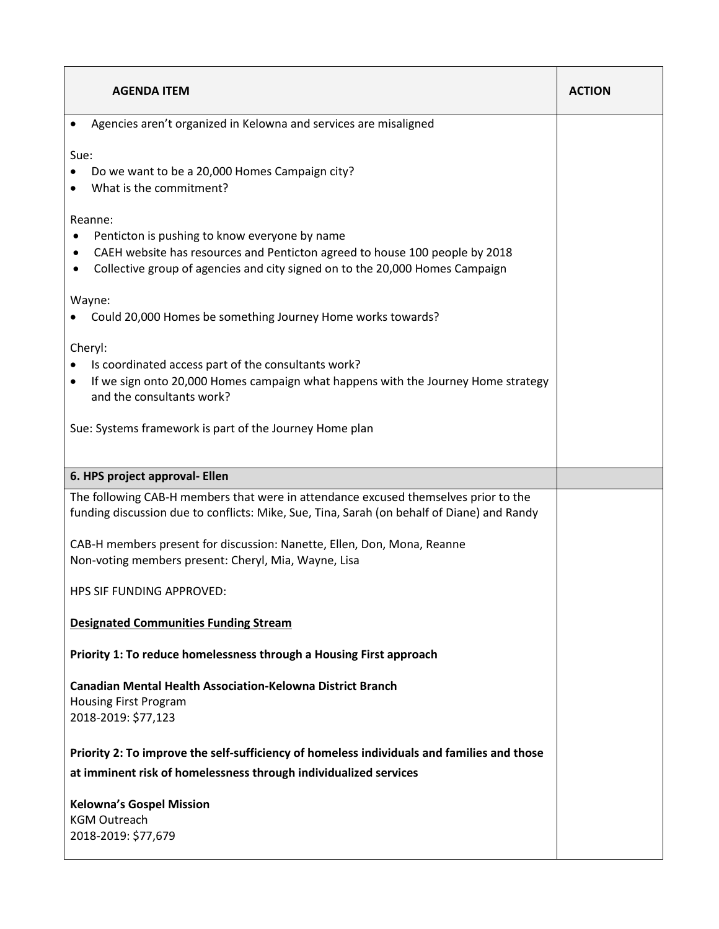| <b>AGENDA ITEM</b>                                                                                                                                                                                                                | <b>ACTION</b> |
|-----------------------------------------------------------------------------------------------------------------------------------------------------------------------------------------------------------------------------------|---------------|
| Agencies aren't organized in Kelowna and services are misaligned                                                                                                                                                                  |               |
| Sue:<br>Do we want to be a 20,000 Homes Campaign city?<br>What is the commitment?                                                                                                                                                 |               |
| Reanne:<br>Penticton is pushing to know everyone by name<br>CAEH website has resources and Penticton agreed to house 100 people by 2018<br>٠<br>Collective group of agencies and city signed on to the 20,000 Homes Campaign<br>٠ |               |
| Wayne:<br>Could 20,000 Homes be something Journey Home works towards?                                                                                                                                                             |               |
| Cheryl:<br>Is coordinated access part of the consultants work?<br>If we sign onto 20,000 Homes campaign what happens with the Journey Home strategy<br>and the consultants work?                                                  |               |
| Sue: Systems framework is part of the Journey Home plan                                                                                                                                                                           |               |
| 6. HPS project approval- Ellen                                                                                                                                                                                                    |               |
| The following CAB-H members that were in attendance excused themselves prior to the<br>funding discussion due to conflicts: Mike, Sue, Tina, Sarah (on behalf of Diane) and Randy                                                 |               |
| CAB-H members present for discussion: Nanette, Ellen, Don, Mona, Reanne<br>Non-voting members present: Cheryl, Mia, Wayne, Lisa                                                                                                   |               |
| HPS SIF FUNDING APPROVED:                                                                                                                                                                                                         |               |
| <b>Designated Communities Funding Stream</b>                                                                                                                                                                                      |               |
| Priority 1: To reduce homelessness through a Housing First approach                                                                                                                                                               |               |
| <b>Canadian Mental Health Association-Kelowna District Branch</b><br><b>Housing First Program</b><br>2018-2019: \$77,123                                                                                                          |               |
| Priority 2: To improve the self-sufficiency of homeless individuals and families and those                                                                                                                                        |               |
| at imminent risk of homelessness through individualized services                                                                                                                                                                  |               |
| <b>Kelowna's Gospel Mission</b><br><b>KGM Outreach</b><br>2018-2019: \$77,679                                                                                                                                                     |               |